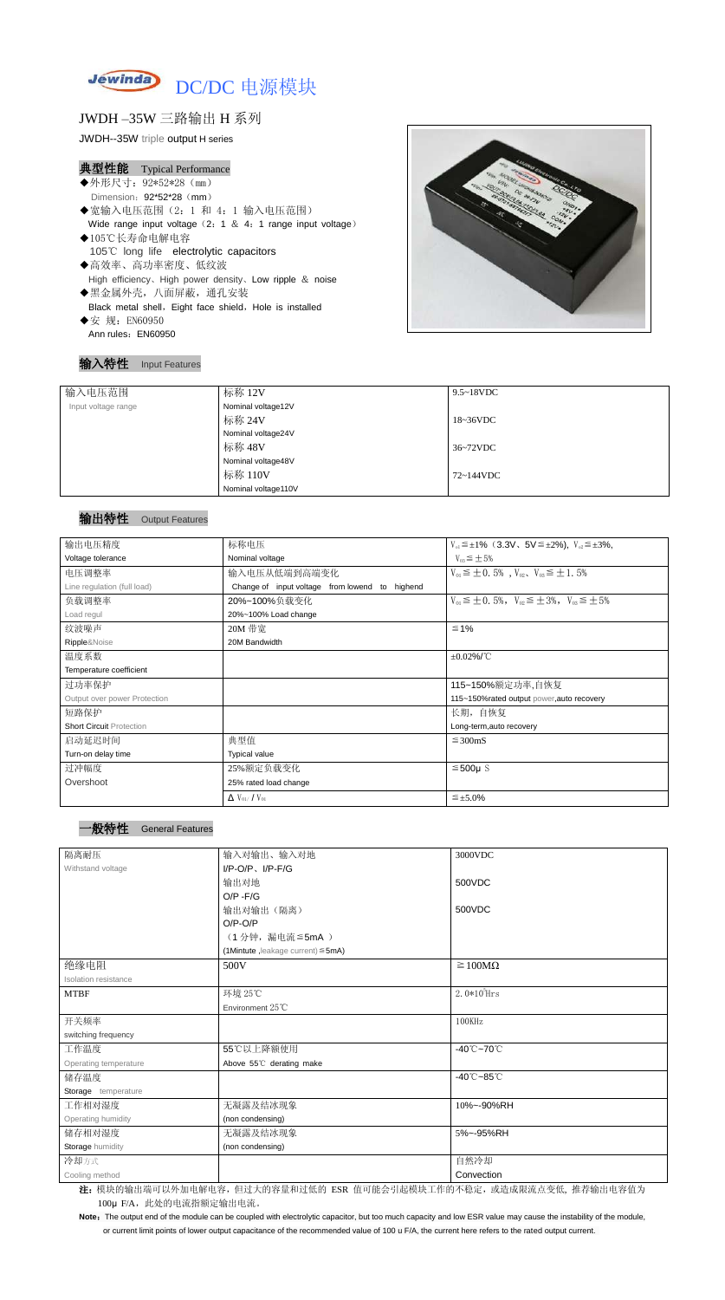

# JWDH –35W 三路输出 H 系列

JWDH--35W triple output H series

#### 典型性能 Typical Performance

- ◆外形尺寸: 92\*52\*28 (mm) Dimension: 92\*52\*28 (mm) ◆宽输入电压范围(2:1 和 4:1 输入电压范围) Wide range input voltage  $(2: 1 \& 4: 1$  range input voltage)
- ◆105℃长寿命电解电容 105℃ long life electrolytic capacitors
- ◆高效率、高功率密度、低纹波 High efficiency、High power density、Low ripple & noise ◆黑金属外壳,八面屏蔽,通孔安装 Black metal shell, Eight face shield, Hole is installed
- ◆安 规: EN60950 Ann rules: EN60950

#### 输入特性 Input Features

Note: The output end of the module can be coupled with electrolytic capacitor, but too much capacity and low ESR value may cause the instability of the module, or current limit points of lower output capacitance of the recommended value of 100 u F/A, the current here refers to the rated output current.

| 输入电压范围              | 标称 12V              | $9.5 \sim 18$ VDC   |
|---------------------|---------------------|---------------------|
| Input voltage range | Nominal voltage12V  |                     |
|                     | 标称 24V              | $18~36\textrm{VDC}$ |
|                     | Nominal voltage24V  |                     |
|                     | 标称 48V              | 36~72VDC            |
|                     | Nominal voltage48V  |                     |
|                     | 标称 110V             | 72~144VDC           |
|                     | Nominal voltage110V |                     |

## 输出特性 Output Features

| 输出电压精度                          | 标称电压                                              | $V_{01} \leq \pm 1\%$ (3.3V, 5V $\leq \pm 2\%$ ), $V_{02} \leq \pm 3\%$ , |
|---------------------------------|---------------------------------------------------|---------------------------------------------------------------------------|
| Voltage tolerance               | Nominal voltage                                   | $V_{03} \leq \pm 5\%$                                                     |
| 电压调整率                           | 输入电压从低端到高端变化                                      | $V_{01} \leq \pm 0.5\%$ , $V_{02}$ , $V_{03} \leq \pm 1.5\%$              |
| Line regulation (full load)     | Change of input voltage from lowend to<br>highend |                                                                           |
| 负载调整率                           | 20%~100%负载变化                                      | $V_{01} \leq \pm 0.5\%$ , $V_{02} \leq \pm 3\%$ , $V_{03} \leq \pm 5\%$   |
| Load regul                      | 20%~100% Load change                              |                                                                           |
| 纹波噪声                            | 20M 带宽                                            | $\leq 1\%$                                                                |
| Ripple&Noise                    | 20M Bandwidth                                     |                                                                           |
| 温度系数                            |                                                   | $\pm 0.02\%$ /°C                                                          |
| Temperature coefficient         |                                                   |                                                                           |
| 过功率保护                           |                                                   | 115~150%额定功率,自恢复                                                          |
| Output over power Protection    |                                                   | 115~150%rated output power, auto recovery                                 |
| 短路保护                            |                                                   | 长期, 自恢复                                                                   |
| <b>Short Circuit Protection</b> |                                                   | Long-term, auto recovery                                                  |
| 启动延迟时间                          | 典型值                                               | $\leq$ 300mS                                                              |
| Turn-on delay time              | <b>Typical value</b>                              |                                                                           |
| 过冲幅度                            | 25%额定负载变化                                         | $≤500µ$ S                                                                 |
| Overshoot                       | 25% rated load change                             |                                                                           |
|                                 | $\Delta$ V <sub>01</sub> /V <sub>01</sub>         | $\leq \pm 5.0\%$                                                          |

**General Features** 

| 隔离耐压                  | 输入对输出、输入对地                              | 3000VDC                         |
|-----------------------|-----------------------------------------|---------------------------------|
| Withstand voltage     | $I/P$ -O/P, $I/P$ -F/G                  |                                 |
|                       | 输出对地                                    | 500VDC                          |
|                       | $O/P - F/G$                             |                                 |
|                       | 输出对输出(隔离)                               | 500VDC                          |
|                       | $O/P-O/P$                               |                                 |
|                       | (1分钟,漏电流≦5mA)                           |                                 |
|                       | (1Mintute, leakage current) $\leq$ 5mA) |                                 |
| 绝缘电阻                  | 500V                                    | $\geq 100M\Omega$               |
| Isolation resistance  |                                         |                                 |
| <b>MTBF</b>           | 环境 25℃                                  | $2.0*10^5$ Hrs                  |
|                       | Environment 25°C                        |                                 |
| 开关频率                  |                                         | 100KHz                          |
| switching frequency   |                                         |                                 |
| 工作温度                  | 55℃以上降额使用                               | $-40^{\circ}$ C $-70^{\circ}$ C |
| Operating temperature | Above 55°C derating make                |                                 |
| 储存温度                  |                                         | $-40^{\circ}$ C $-85^{\circ}$ C |
| Storage temperature   |                                         |                                 |
| 工作相对湿度                | 无凝露及结冰现象                                | 10%~-90%RH                      |
| Operating humidity    | (non condensing)                        |                                 |
| 储存相对湿度                | 无凝露及结冰现象                                | 5%~-95%RH                       |
| Storage humidity      | (non condensing)                        |                                 |
| 冷却方式                  |                                         | 自然冷却                            |
| Cooling method        |                                         | Convection                      |

注: 模块的输出端可以外加电解电容,但过大的容量和过低的 ESR 值可能会引起模块工作的不稳定, 或造成限流点变低, 推荐输出电容值为 100μ F/A, 此处的电流指额定输出电流。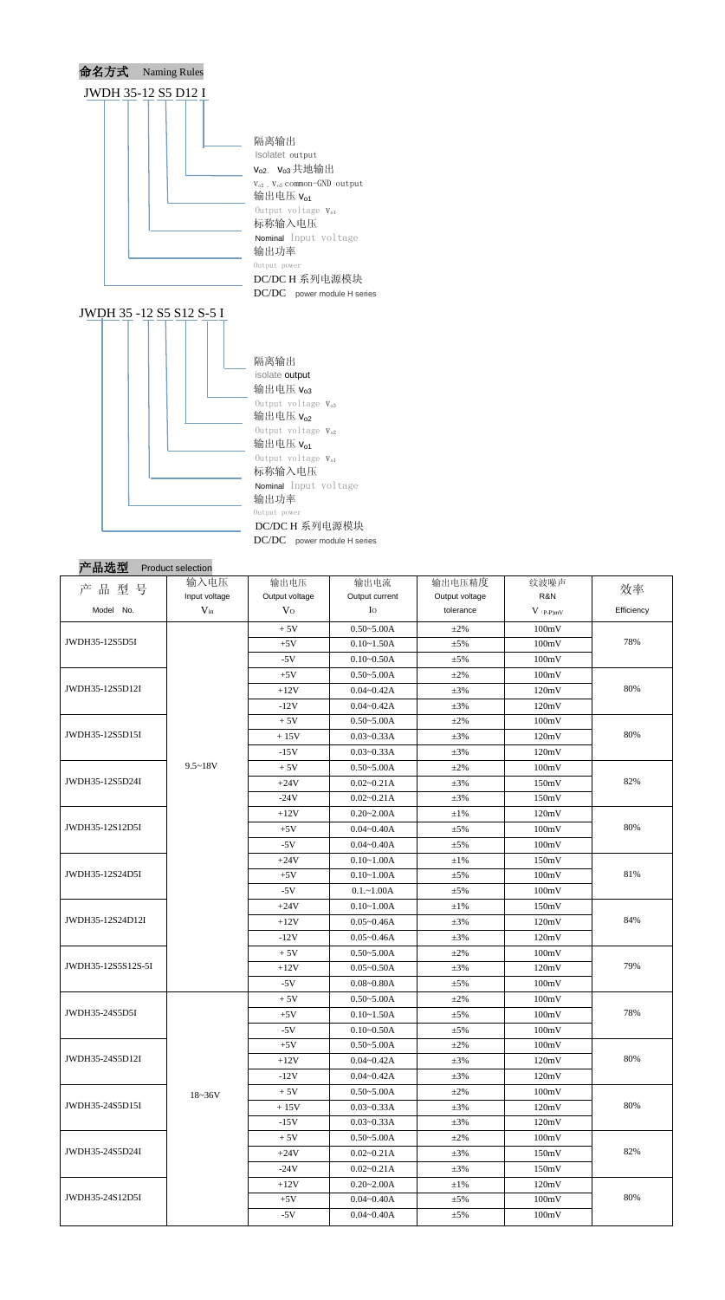

| 产<br>品型<br>号                       | 输入电压<br>Input voltage | 输出电压<br>Output voltage | 输出电流<br>Output current          | 输出电压精度<br>Output voltage | 纹波噪声<br>R&N | 效率<br>Efficiency |  |
|------------------------------------|-----------------------|------------------------|---------------------------------|--------------------------|-------------|------------------|--|
| Model No.                          | $V_{in}$              | V <sub>O</sub>         | Io                              | tolerance                | $V$ (p-p)mV |                  |  |
|                                    |                       | $+5V$                  | $0.50 - 5.00A$                  | $\pm 2\%$                | 100mV       |                  |  |
| JWDH35-12S5D5I                     |                       | $+5V$                  | $0.10 - 1.50A$                  | $\pm$ 5%                 | 100mV       | 78%              |  |
|                                    |                       | $-5V$                  | $0.10 - 0.50A$                  | $\pm$ 5%                 | 100mV       |                  |  |
|                                    |                       | $+5V$                  | $0.50 - 5.00A$                  | $\pm 2\%$                | 100mV       |                  |  |
| JWDH35-12S5D12I                    |                       | $+12V$                 | $0.04 - 0.42A$                  | $\pm 3\%$                | 120mV       | 80%              |  |
|                                    |                       | $-12V$                 | $0.04 - 0.42A$                  | $\pm 3\%$                | 120mV       |                  |  |
|                                    |                       | $+5V$                  | $0.50 - 5.00A$                  | $\pm 2\%$                | 100mV       |                  |  |
| JWDH35-12S5D15I                    |                       | $+15V$                 | $0.03 - 0.33A$                  | $\pm 3\%$                | 120mV       | 80%              |  |
|                                    |                       | $-15V$                 | $0.03 - 0.33A$                  | $\pm 3\%$                | 120mV       |                  |  |
|                                    | $9.5 - 18V$           | $+5V$                  | $0.50 - 5.00A$                  | $\pm 2\%$                | 100mV       |                  |  |
| JWDH35-12S5D24I                    |                       | $+24V$                 | $0.02 - 0.21A$                  | $\pm 3\%$                | 150mV       | 82%              |  |
|                                    |                       | $-24V$                 | $0.02 - 0.21A$                  | $\pm 3\%$                | 150mV       |                  |  |
|                                    |                       | $+12V$                 | $0.20 - 2.00A$                  | $\pm 1\%$                | 120mV       |                  |  |
| JWDH35-12S12D5I                    |                       | $+5V$                  | $0.04 - 0.40A$                  | $\pm$ 5%                 | 100mV       | 80%              |  |
|                                    |                       | $-5V$                  | $0.04 - 0.40A$                  |                          | 100mV       |                  |  |
|                                    |                       | $+24V$                 | $0.10 - 1.00A$                  | $\pm$ 5%<br>$\pm 1\%$    | 150mV       |                  |  |
| JWDH35-12S24D5I                    |                       |                        |                                 |                          |             | 81%              |  |
|                                    |                       | $+5V$<br>$-5V$         | $0.10 - 1.00A$<br>$0.1 - 1.00A$ | $\pm$ 5%                 | 100mV       |                  |  |
|                                    |                       |                        |                                 | $\pm$ 5%                 | 100mV       |                  |  |
| JWDH35-12S24D12I                   |                       | $+24V$                 | $0.10 - 1.00A$                  | $\pm 1\%$                | 150mV       | 84%              |  |
|                                    |                       | $+12V$                 | $0.05 - 0.46A$                  | $\pm 3\%$                | 120mV       |                  |  |
|                                    |                       | $-12V$                 | $0.05 - 0.46A$                  | $\pm 3\%$                | 120mV       |                  |  |
| JWDH35-12S5S12S-5I                 |                       | $+5V$                  | $0.50 - 5.00A$                  | $\pm 2\%$                | 100mV       | 79%              |  |
|                                    |                       | $+12V$                 | $0.05 - 0.50A$                  | $\pm 3\%$                | 120mV       |                  |  |
|                                    |                       | $-5V$                  | $0.08 - 0.80A$                  | $\pm$ 5%                 | 100mV       |                  |  |
|                                    |                       | $+5V$                  | $0.50 - 5.00A$                  | $\pm 2\%$                | 100mV       |                  |  |
| JWDH35-24S5D5I                     |                       | $+5V$                  | $0.10 - 1.50A$                  | $\pm$ 5%                 | 100mV       | 78%              |  |
|                                    |                       | $-5V$                  | $0.10 - 0.50A$                  | $\pm$ 5%                 | 100mV       |                  |  |
|                                    |                       | $+5V$                  | $0.50 - 5.00A$                  | $\pm 2\%$                | 100mV       |                  |  |
| JWDH35-24S5D12I                    |                       | $+12V$                 | $0.04 - 0.42A$                  | $\pm 3\%$                | 120mV       | 80%              |  |
|                                    |                       | $-12V$                 | $0.04 - 0.42A$                  | $\pm 3\%$                | 120mV       |                  |  |
| JWDH35-24S5D15I<br>JWDH35-24S5D24I | $18 - 36V$            | $+5V$                  | $0.50 - 5.00A$                  | $\pm 2\%$                | 100mV       |                  |  |
|                                    |                       | $+15V$                 | $0.03 - 0.33A$                  | $\pm 3\%$                | 120mV       | 80%              |  |
|                                    |                       | $-15V$                 | $0.03 - 0.33A$                  | $\pm 3\%$                | 120mV       |                  |  |
|                                    |                       | $+5V$                  | $0.50 - 5.00A$                  | $\pm 2\%$                | 100mV       |                  |  |
|                                    |                       | $+24V$                 | $0.02 - 0.21A$                  | $\pm 3\%$                | 150mV       | 82%              |  |
|                                    |                       | $-24V$                 | $0.02 - 0.21A$                  | $\pm 3\%$                | 150mV       |                  |  |
|                                    |                       | $+12V$                 | $0.20 - 2.00A$                  | $\pm 1\%$                | 120mV       |                  |  |
| JWDH35-24S12D5I                    |                       | $+5V$                  | $0.04 - 0.40A$                  | $\pm$ 5%                 | 100mV       | 80%              |  |
|                                    |                       | $-5V$                  | $0.04 - 0.40A$                  | $\pm$ 5%                 | 100mV       |                  |  |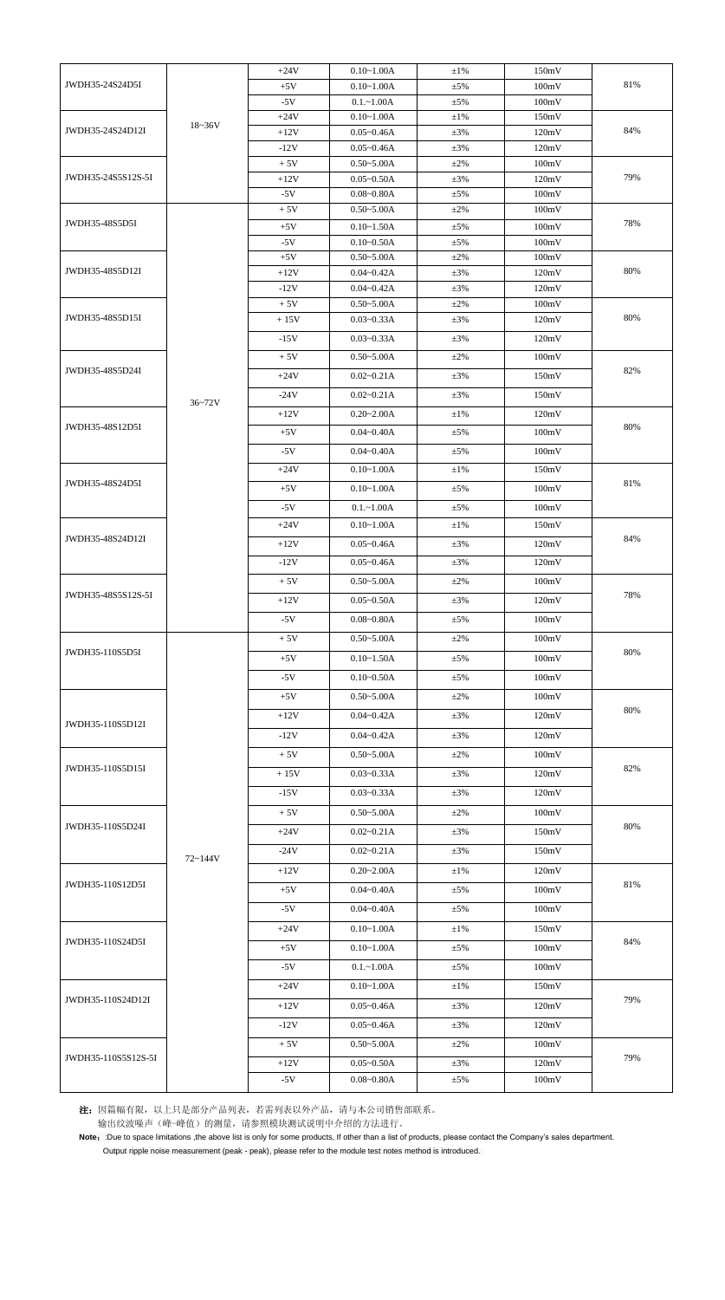|                     |            | $+24V$         | $0.10 - 1.00A$                   | $\pm 1\%$             | 150mV          |     |
|---------------------|------------|----------------|----------------------------------|-----------------------|----------------|-----|
| JWDH35-24S24D5I     |            | $+5V$          | $0.10 - 1.00A$                   | $\pm$ 5%              | 100mV          | 81% |
|                     |            | $-5V$          | $0.1 - 1.00A$                    | $\pm$ 5%              | 100mV          |     |
|                     |            | $+24V$         | $0.10 - 1.00A$                   | $\pm 1\%$             | 150mV          |     |
| JWDH35-24S24D12I    | $18 - 36V$ | $+12V$         | $0.05 - 0.46A$                   | $\pm 3\%$             | 120mV          | 84% |
|                     |            | $-12V$         | $0.05 - 0.46A$                   | $\pm 3\%$             | 120mV          |     |
|                     |            | $+5V$          | $0.50 - 5.00A$                   | $\pm 2\%$             | 100mV          |     |
| JWDH35-24S5S12S-5I  |            | $+12V$         | $0.05 - 0.50A$                   | $\pm 3\%$             | 120mV          | 79% |
|                     |            | $-5V$          | $0.08 - 0.80A$                   | $\pm$ 5%              | 100mV          |     |
| JWDH35-48S5D5I      |            | $+5V$          | $0.50 - 5.00A$                   | $\pm 2\%$             | 100mV          | 78% |
|                     |            | $+5V$          | $0.10 - 1.50A$                   | $\pm$ 5%              | 100mV          |     |
|                     |            | $-5V$<br>$+5V$ | $0.10 - 0.50A$<br>$0.50 - 5.00A$ | $\pm$ 5%<br>$\pm 2\%$ | 100mV<br>100mV |     |
| JWDH35-48S5D12I     |            | $+12V$         | $0.04 - 0.42A$                   | $\pm 3\%$             | 120mV          | 80% |
|                     |            | $-12V$         | $0.04 - 0.42A$                   | $\pm 3\%$             | 120mV          |     |
|                     |            | $+5V$          | $0.50 - 5.00A$                   | $\pm 2\%$             | 100mV          |     |
| JWDH35-48S5D15I     |            | $+15V$         | $0.03 - 0.33A$                   | $\pm 3\%$             | 120mV          | 80% |
|                     |            | $-15V$         | $0.03 - 0.33A$                   | $\pm 3\%$             | 120mV          |     |
|                     |            | $+5V$          | $0.50 - 5.00A$                   | $\pm 2\%$             | 100mV          |     |
| JWDH35-48S5D24I     |            |                |                                  |                       |                | 82% |
|                     |            | $+24V$         | $0.02 - 0.21A$                   | $\pm 3\%$             | 150mV          |     |
|                     | 36~72V     | $-24V$         | $0.02 - 0.21A$                   | $\pm 3\%$             | 150mV          |     |
|                     |            | $+12V$         | $0.20 - 2.00A$                   | $\pm1\%$              | 120mV          |     |
| JWDH35-48S12D5I     |            | $+5V$          | $0.04 - 0.40A$                   | $\pm$ 5%              | 100mV          | 80% |
|                     |            | $-5V$          | $0.04 - 0.40A$                   | $\pm$ 5%              | 100mV          |     |
|                     |            | $+24V$         | $0.10 - 1.00A$                   | $\pm 1\%$             | 150mV          |     |
| JWDH35-48S24D5I     |            | $+5V$          | $0.10 - 1.00A$                   | $\pm$ 5%              | 100mV          | 81% |
|                     |            | $-5V$          | $0.1 - 1.00A$                    | $\pm 5\%$             | 100mV          |     |
| JWDH35-48S24D12I    |            | $+24V$         | $0.10 - 1.00A$                   | $\pm 1\%$             | 150mV          |     |
|                     |            |                |                                  |                       |                | 84% |
|                     |            | $+12V$         | $0.05 - 0.46A$                   | $\pm 3\%$             | 120mV          |     |
|                     |            | $-12V$         | $0.05 - 0.46A$                   | $\pm 3\%$             | 120mV          |     |
| JWDH35-48S5S12S-5I  |            | $+5V$          | $0.50 - 5.00A$                   | $\pm 2\%$             | 100mV          |     |
|                     |            | $+12V$         | $0.05 - 0.50A$                   | $\pm 3\%$             | 120mV          | 78% |
|                     |            | $-5V$          | $0.08 - 0.80A$                   | $\pm 5\%$             | 100mV          |     |
| JWDH35-110S5D5I     |            | $+5V$          | $0.50 - 5.00A$                   | $\pm 2\%$             | 100mV          |     |
|                     |            | $+5V$          | $0.10 - 1.50A$                   | $\pm$ 5%              | 100mV          | 80% |
|                     |            | $-5V$          | $0.10 - 0.50A$                   | $\pm 5\%$             | 100mV          |     |
|                     |            | $+5V$          | $0.50 - 5.00A$                   |                       | 100mV          |     |
|                     |            |                |                                  | $\pm 2\%$             |                | 80% |
| JWDH35-110S5D12I    |            | $+12V$         | $0.04 - 0.42A$                   | $\pm 3\%$             | 120mV          |     |
|                     |            | $-12V$         | $0.04 - 0.42A$                   | $\pm 3\%$             | 120mV          |     |
|                     |            | $+5V$          | $0.50 - 5.00A$                   | $\pm 2\%$             | 100mV          |     |
| JWDH35-110S5D15I    |            | $+15V$         | $0.03 - 0.33A$                   | $\pm 3\%$             | 120mV          | 82% |
|                     |            | $-15V$         | $0.03 - 0.33A$                   | $\pm 3\%$             | 120mV          |     |
|                     |            | $+5V$          | $0.50 - 5.00A$                   | $\pm 2\%$             | 100mV          |     |
| JWDH35-110S5D24I    |            | $+24V$         | $0.02 - 0.21A$                   | $\pm 3\%$             | 150mV          | 80% |
|                     |            |                |                                  |                       |                |     |
|                     | 72~144V    | $-24V$         | $0.02 - 0.21A$                   | $\pm 3\%$             | 150mV          |     |
| JWDH35-110S12D5I    |            | $+12V$         | $0.20 - 2.00A$                   | $\pm 1\%$             | 120mV          |     |
|                     |            | $+5V$          | $0.04 - 0.40A$                   | $\pm$ 5%              | 100mV          | 81% |
|                     |            | $-5V$          | $0.04 - 0.40A$                   | $\pm$ 5%              | 100mV          |     |
| JWDH35-110S24D5I    |            | $+24V$         | $0.10 - 1.00A$                   | $\pm 1\%$             | 150mV          |     |
|                     |            | $+5V$          | $0.10 - 1.00A$                   | $\pm 5\%$             | 100mV          | 84% |
|                     |            |                |                                  |                       |                |     |
|                     |            | $-5V$          | $0.1 - 1.00A$                    | $\pm$ 5%              | 100mV          |     |
|                     |            | $+24V$         | $0.10 - 1.00A$                   | $\pm 1\%$             | 150mV          |     |
| JWDH35-110S24D12I   |            | $+12V$         | $0.05 - 0.46A$                   | $\pm 3\%$             | 120mV          | 79% |
|                     |            | $-12V$         | $0.05 - 0.46A$                   | $\pm 3\%$             | 120mV          |     |
|                     |            | $+5V$          | $0.50 - 5.00A$                   | $\pm 2\%$             | 100mV          |     |
| JWDH35-110S5S12S-5I |            | $+12V$         | $0.05 - 0.50A$                   | $\pm 3\%$             | 120mV          | 79% |
|                     |            | $-5V$          | $0.08 - 0.80A$                   | $\pm$ 5%              | 100mV          |     |
|                     |            |                |                                  |                       |                |     |

注:因篇幅有限,以上只是部分产品列表,若需列表以外产品,请与本公司销售部联系。

输出纹波噪声(峰-峰值)的测量,请参照模块测试说明中介绍的方法进行。

Note: :Due to space limitations ,the above list is only for some products, If other than a list of products, please contact the Company's sales department.

Output ripple noise measurement (peak - peak), please refer to the module test notes method is introduced.